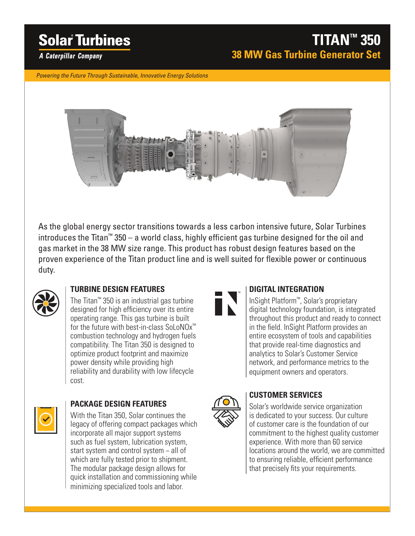# **Solar Turbines**

# **TITAN™ 350 38 MW Gas Turbine Generator Set**

**A Caterpillar Company** 

*Powering the Future Through Sustainable, Innovative Energy Solutions*



As the global energy sector transitions towards a less carbon intensive future, Solar Turbines introduces the Titan™ 350 – a world class, highly efficient gas turbine designed for the oil and gas market in the 38 MW size range. This product has robust design features based on the proven experience of the Titan product line and is well suited for flexible power or continuous duty.



### **TURBINE DESIGN FEATURES**

The Titan™ 350 is an industrial gas turbine designed for high efficiency over its entire operating range. This gas turbine is built for the future with best-in-class SoLoNOx™ combustion technology and hydrogen fuels compatibility. The Titan 350 is designed to optimize product footprint and maximize power density while providing high reliability and durability with low lifecycle cost.



### **PACKAGE DESIGN FEATURES**

With the Titan 350, Solar continues the legacy of offering compact packages which incorporate all major support systems such as fuel system, lubrication system, start system and control system − all of which are fully tested prior to shipment. The modular package design allows for quick installation and commissioning while minimizing specialized tools and labor.



### **DIGITAL INTEGRATION**

InSight Platform™, Solar's proprietary digital technology foundation, is integrated throughout this product and ready to connect in the field. InSight Platform provides an entire ecosystem of tools and capabilities that provide real-time diagnostics and analytics to Solar's Customer Service network, and performance metrics to the equipment owners and operators.



## **CUSTOMER SERVICES**

Solar's worldwide service organization is dedicated to your success. Our culture of customer care is the foundation of our commitment to the highest quality customer experience. With more than 60 service locations around the world, we are committed to ensuring reliable, efficient performance that precisely fits your requirements.